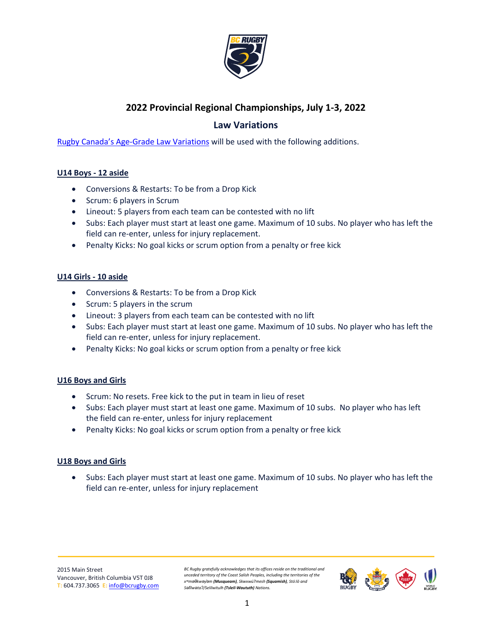

# **2022 Provincial Regional Championships, July 1-3, 2022**

# **Law Variations**

[Rugby Canada's Age-Grade Law Variations](https://rugby.ca/uploads/Documents/190606_-_Age_Grade_Law_Variations.pdf) will be used with the following additions.

## **U14 Boys - 12 aside**

- Conversions & Restarts: To be from a Drop Kick
- Scrum: 6 players in Scrum
- Lineout: 5 players from each team can be contested with no lift
- Subs: Each player must start at least one game. Maximum of 10 subs. No player who has left the field can re-enter, unless for injury replacement.
- Penalty Kicks: No goal kicks or scrum option from a penalty or free kick

#### **U14 Girls - 10 aside**

- Conversions & Restarts: To be from a Drop Kick
- Scrum: 5 players in the scrum
- Lineout: 3 players from each team can be contested with no lift
- Subs: Each player must start at least one game. Maximum of 10 subs. No player who has left the field can re-enter, unless for injury replacement.
- Penalty Kicks: No goal kicks or scrum option from a penalty or free kick

## **U16 Boys and Girls**

- Scrum: No resets. Free kick to the put in team in lieu of reset
- Subs: Each player must start at least one game. Maximum of 10 subs. No player who has left the field can re-enter, unless for injury replacement
- Penalty Kicks: No goal kicks or scrum option from a penalty or free kick

## **U18 Boys and Girls**

• Subs: Each player must start at least one game. Maximum of 10 subs. No player who has left the field can re-enter, unless for injury replacement

2015 Main Street Vancouver, British Columbia V5T 0J8 **T:** 604.737.3065 **E:** [info@bcrugby.com](mailto:info@bcrugby.com) *BC Rugby gratefully acknowledges that its offices reside on the traditional and unceded territory of the Coast Salish Peoples, including the territories of the xʷməθkwəy̓əm (Musqueam), Skwxwú7mesh (Squamish), Stó:lō and Səl̓ílwətaʔ/Selilwitulh (Tsleil-Waututh) Nations.*